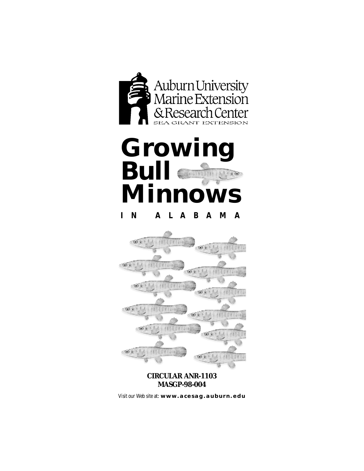

# **Growi Bull**  $\sim 10$ **Minnows IN ALABAMA**



#### **CIRCULAR ANR-1103 MASGP-98-004**

Visit our Web site at : **[www.acesag.auburn.edu](http://www.aces.edu/)**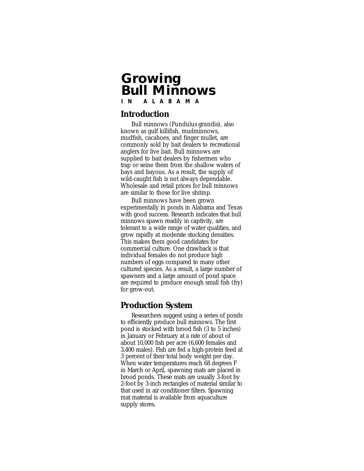## **Growing Bull Minnows IN ALABAMA**

#### **Introduction**

Bull minnows *(Fundulus grandis),* also known as gulf killifish, mudminnows, mudfish, cacahoes, and finger mullet, are commonly sold by bait dealers to recreational anglers for live bait. Bull minnows are supplied to bait dealers by fishermen who trap or seine them from the shallow waters of bays and bayous. As a result, the supply of wild-caught fish is not always dependable. Wholesale and retail prices for bull minnows are similar to those for live shrimp.

Bull minnows have been grown experimentally in ponds in Alabama and Texas with good success. Research indicates that bull minnows spawn readily in captivity, are tolerant to a wide range of water qualities, and grow rapidly at moderate stocking densities. This makes them good candidates for commercial culture. One drawback is that individual females do not produce high numbers of eggs compared to many other cultured species. As a result, a large number of spawners and a large amount of pond space are required to produce enough small fish (fry) for grow-out.

### **Production System**

Researchers suggest using a series of ponds to efficiently produce bull minnows. The first pond is stocked with brood fish (3 to 5 inches) in January or February at a rate of about of about 10,000 fish per acre (6,600 females and 3,400 males). Fish are fed a high-protein feed at 3 percent of their total body weight per day. When water temperatures reach 68 degrees F in March or April, spawning mats are placed in brood ponds. These mats are usually 3-foot by 2-foot by 3-inch rectangles of material similar to that used in air conditioner filters. Spawning mat material is available from aquaculture supply stores.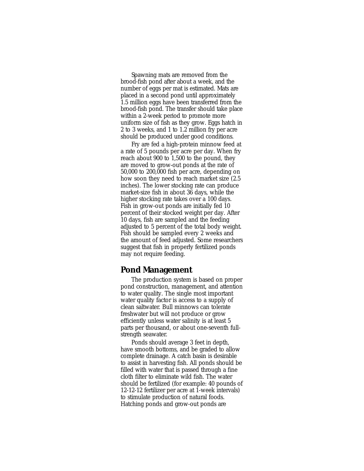Spawning mats are removed from the brood-fish pond after about a week, and the number of eggs per mat is estimated. Mats are placed in a second pond until approximately 1.5 million eggs have been transferred from the brood-fish pond. The transfer should take place within a 2-week period to promote more uniform size of fish as they grow. Eggs hatch in 2 to 3 weeks, and 1 to 1.2 million fry per acre should be produced under good conditions.

Fry are fed a high-protein minnow feed at a rate of 5 pounds per acre per day. When fry reach about 900 to 1,500 to the pound, they are moved to grow-out ponds at the rate of 50,000 to 200,000 fish per acre, depending on how soon they need to reach market size (2.5 inches). The lower stocking rate can produce market-size fish in about 36 days, while the higher stocking rate takes over a 100 days. Fish in grow-out ponds are initially fed 10 percent of their stocked weight per day. After 10 days, fish are sampled and the feeding adjusted to 5 percent of the total body weight. Fish should be sampled every 2 weeks and the amount of feed adjusted. Some researchers suggest that fish in properly fertilized ponds may not require feeding.

#### **Pond Management**

The production system is based on proper pond construction, management, and attention to water quality. The single most important water quality factor is access to a supply of clean saltwater. Bull minnows can tolerate freshwater but will not produce or grow efficiently unless water salinity is at least 5 parts per thousand, or about one-seventh fullstrength seawater.

Ponds should average 3 feet in depth, have smooth bottoms, and be graded to allow complete drainage. A catch basin is desirable to assist in harvesting fish. All ponds should be filled with water that is passed through a fine cloth filter to eliminate wild fish. The water should be fertilized (for example: 40 pounds of 12-12-12 fertilizer per acre at 1-week intervals) to stimulate production of natural foods. Hatching ponds and grow-out ponds are